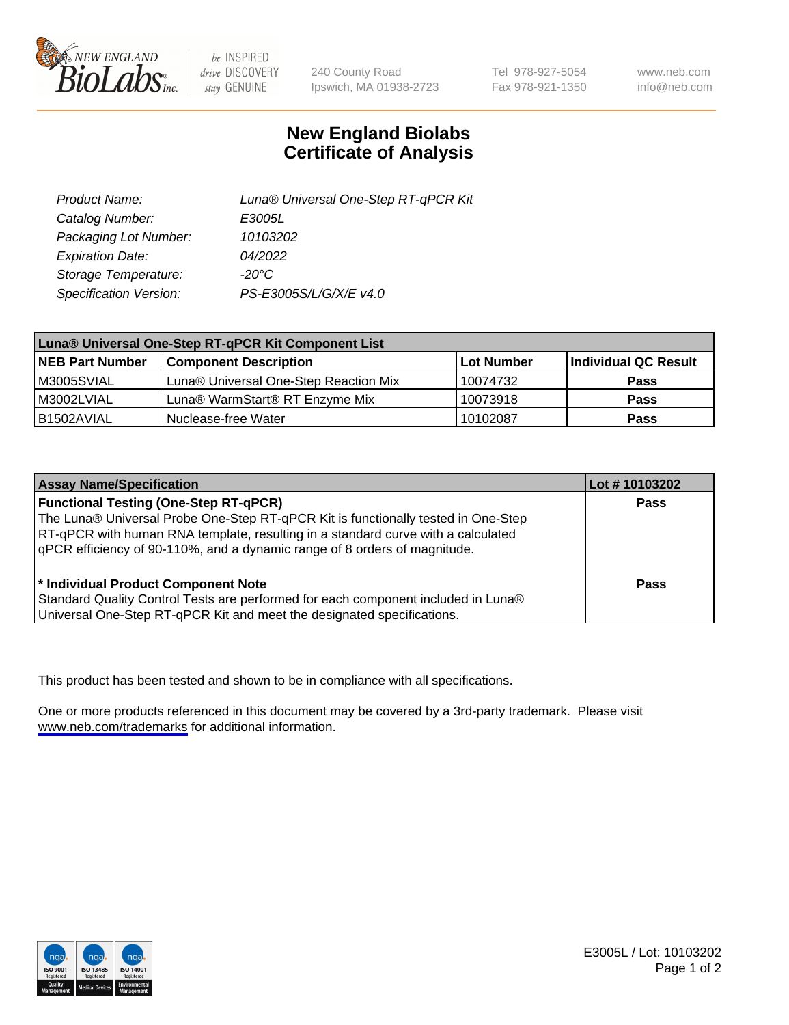

be INSPIRED drive DISCOVERY stay GENUINE

240 County Road Ipswich, MA 01938-2723 Tel 978-927-5054 Fax 978-921-1350

www.neb.com info@neb.com

## **New England Biolabs Certificate of Analysis**

| Product Name:           | Luna® Universal One-Step RT-qPCR Kit |  |
|-------------------------|--------------------------------------|--|
| Catalog Number:         | E3005L                               |  |
| Packaging Lot Number:   | 10103202                             |  |
| <b>Expiration Date:</b> | 04/2022                              |  |
| Storage Temperature:    | $-20^{\circ}$ C                      |  |
| Specification Version:  | PS-E3005S/L/G/X/E v4.0               |  |

| Luna® Universal One-Step RT-qPCR Kit Component List |                                       |            |                      |  |
|-----------------------------------------------------|---------------------------------------|------------|----------------------|--|
| <b>NEB Part Number</b>                              | <b>Component Description</b>          | Lot Number | Individual QC Result |  |
| M3005SVIAL                                          | Luna® Universal One-Step Reaction Mix | 10074732   | Pass                 |  |
| M3002LVIAL                                          | Luna® WarmStart® RT Enzyme Mix        | 10073918   | <b>Pass</b>          |  |
| B1502AVIAL                                          | Nuclease-free Water                   | 10102087   | <b>Pass</b>          |  |

| <b>Assay Name/Specification</b>                                                   | Lot # 10103202 |
|-----------------------------------------------------------------------------------|----------------|
| <b>Functional Testing (One-Step RT-qPCR)</b>                                      | <b>Pass</b>    |
| The Luna® Universal Probe One-Step RT-qPCR Kit is functionally tested in One-Step |                |
| RT-qPCR with human RNA template, resulting in a standard curve with a calculated  |                |
| gPCR efficiency of 90-110%, and a dynamic range of 8 orders of magnitude.         |                |
| <sup>*</sup> Individual Product Component Note                                    | Pass           |
| Standard Quality Control Tests are performed for each component included in Luna® |                |
| Universal One-Step RT-qPCR Kit and meet the designated specifications.            |                |

This product has been tested and shown to be in compliance with all specifications.

One or more products referenced in this document may be covered by a 3rd-party trademark. Please visit <www.neb.com/trademarks>for additional information.